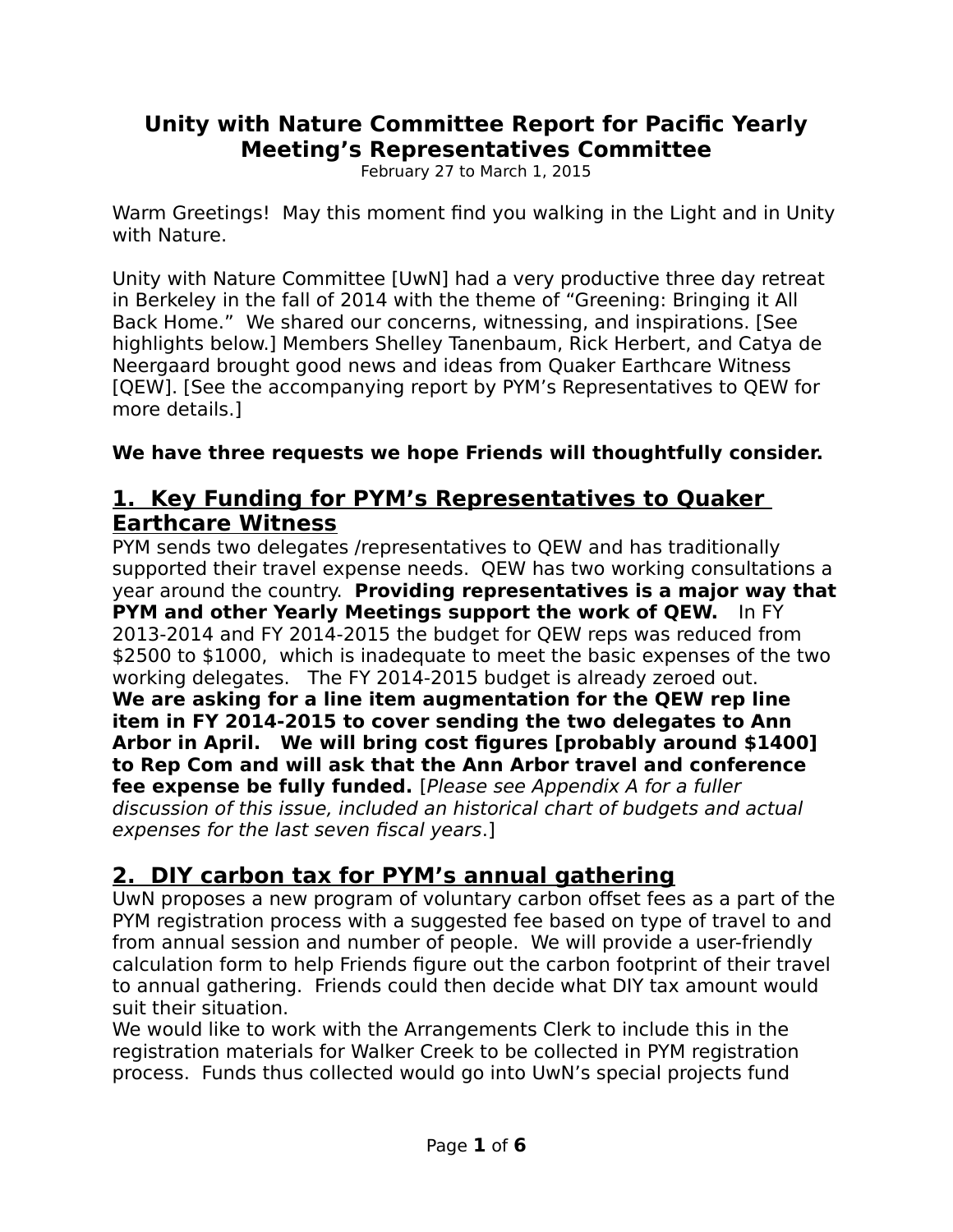### **Unity with Nature Committee Report for Pacific Yearly Meeting's Representatives Committee**

February 27 to March 1, 2015

Warm Greetings! May this moment find you walking in the Light and in Unity with Nature.

Unity with Nature Committee [UwN] had a very productive three day retreat in Berkeley in the fall of 2014 with the theme of "Greening: Bringing it All Back Home." We shared our concerns, witnessing, and inspirations. [See highlights below.] Members Shelley Tanenbaum, Rick Herbert, and Catya de Neergaard brought good news and ideas from Quaker Earthcare Witness [QEW]. [See the accompanying report by PYM's Representatives to QEW for more details.]

#### **We have three requests we hope Friends will thoughtfully consider.**

### **1. Key Funding for PYM's Representatives to Quaker Earthcare Witness**

PYM sends two delegates /representatives to QEW and has traditionally supported their travel expense needs. QEW has two working consultations a year around the country. **Providing representatives is a major way that PYM and other Yearly Meetings support the work of QEW.** In FY 2013-2014 and FY 2014-2015 the budget for QEW reps was reduced from \$2500 to \$1000, which is inadequate to meet the basic expenses of the two working delegates. The FY 2014-2015 budget is already zeroed out. **We are asking for a line item augmentation for the QEW rep line item in FY 2014-2015 to cover sending the two delegates to Ann Arbor in April. We will bring cost figures [probably around \$1400] to Rep Com and will ask that the Ann Arbor travel and conference fee expense be fully funded.** [Please see Appendix A for a fuller discussion of this issue, included an historical chart of budgets and actual expenses for the last seven fiscal years.]

## **2. DIY carbon tax for PYM's annual gathering**

UwN proposes a new program of voluntary carbon offset fees as a part of the PYM registration process with a suggested fee based on type of travel to and from annual session and number of people. We will provide a user-friendly calculation form to help Friends figure out the carbon footprint of their travel to annual gathering. Friends could then decide what DIY tax amount would suit their situation.

We would like to work with the Arrangements Clerk to include this in the registration materials for Walker Creek to be collected in PYM registration process. Funds thus collected would go into UwN's special projects fund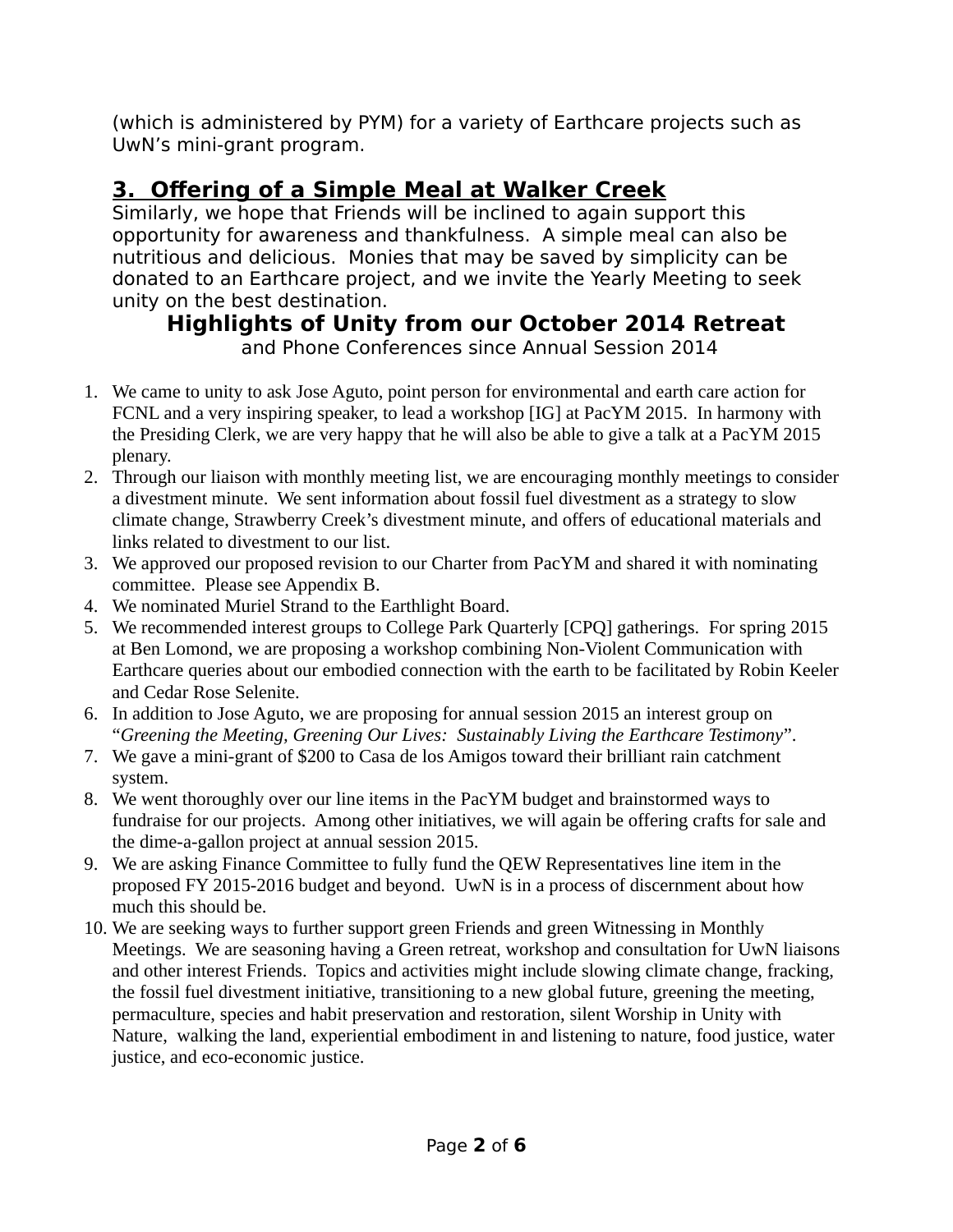(which is administered by PYM) for a variety of Earthcare projects such as UwN's mini-grant program.

# **3. Offering of a Simple Meal at Walker Creek**

Similarly, we hope that Friends will be inclined to again support this opportunity for awareness and thankfulness. A simple meal can also be nutritious and delicious. Monies that may be saved by simplicity can be donated to an Earthcare project, and we invite the Yearly Meeting to seek unity on the best destination.

# **Highlights of Unity from our October 2014 Retreat**

and Phone Conferences since Annual Session 2014

- 1. We came to unity to ask Jose Aguto, point person for environmental and earth care action for FCNL and a very inspiring speaker, to lead a workshop [IG] at PacYM 2015. In harmony with the Presiding Clerk, we are very happy that he will also be able to give a talk at a PacYM 2015 plenary.
- 2. Through our liaison with monthly meeting list, we are encouraging monthly meetings to consider a divestment minute. We sent information about fossil fuel divestment as a strategy to slow climate change, Strawberry Creek's divestment minute, and offers of educational materials and links related to divestment to our list.
- 3. We approved our proposed revision to our Charter from PacYM and shared it with nominating committee. Please see Appendix B.
- 4. We nominated Muriel Strand to the Earthlight Board.
- 5. We recommended interest groups to College Park Quarterly [CPQ] gatherings. For spring 2015 at Ben Lomond, we are proposing a workshop combining Non-Violent Communication with Earthcare queries about our embodied connection with the earth to be facilitated by Robin Keeler and Cedar Rose Selenite.
- 6. In addition to Jose Aguto, we are proposing for annual session 2015 an interest group on "*Greening the Meeting, Greening Our Lives: Sustainably Living the Earthcare Testimony*".
- 7. We gave a mini-grant of \$200 to Casa de los Amigos toward their brilliant rain catchment system.
- 8. We went thoroughly over our line items in the PacYM budget and brainstormed ways to fundraise for our projects. Among other initiatives, we will again be offering crafts for sale and the dime-a-gallon project at annual session 2015.
- 9. We are asking Finance Committee to fully fund the QEW Representatives line item in the proposed FY 2015-2016 budget and beyond. UwN is in a process of discernment about how much this should be.
- 10. We are seeking ways to further support green Friends and green Witnessing in Monthly Meetings. We are seasoning having a Green retreat, workshop and consultation for UwN liaisons and other interest Friends. Topics and activities might include slowing climate change, fracking, the fossil fuel divestment initiative, transitioning to a new global future, greening the meeting, permaculture, species and habit preservation and restoration, silent Worship in Unity with Nature, walking the land, experiential embodiment in and listening to nature, food justice, water justice, and eco-economic justice.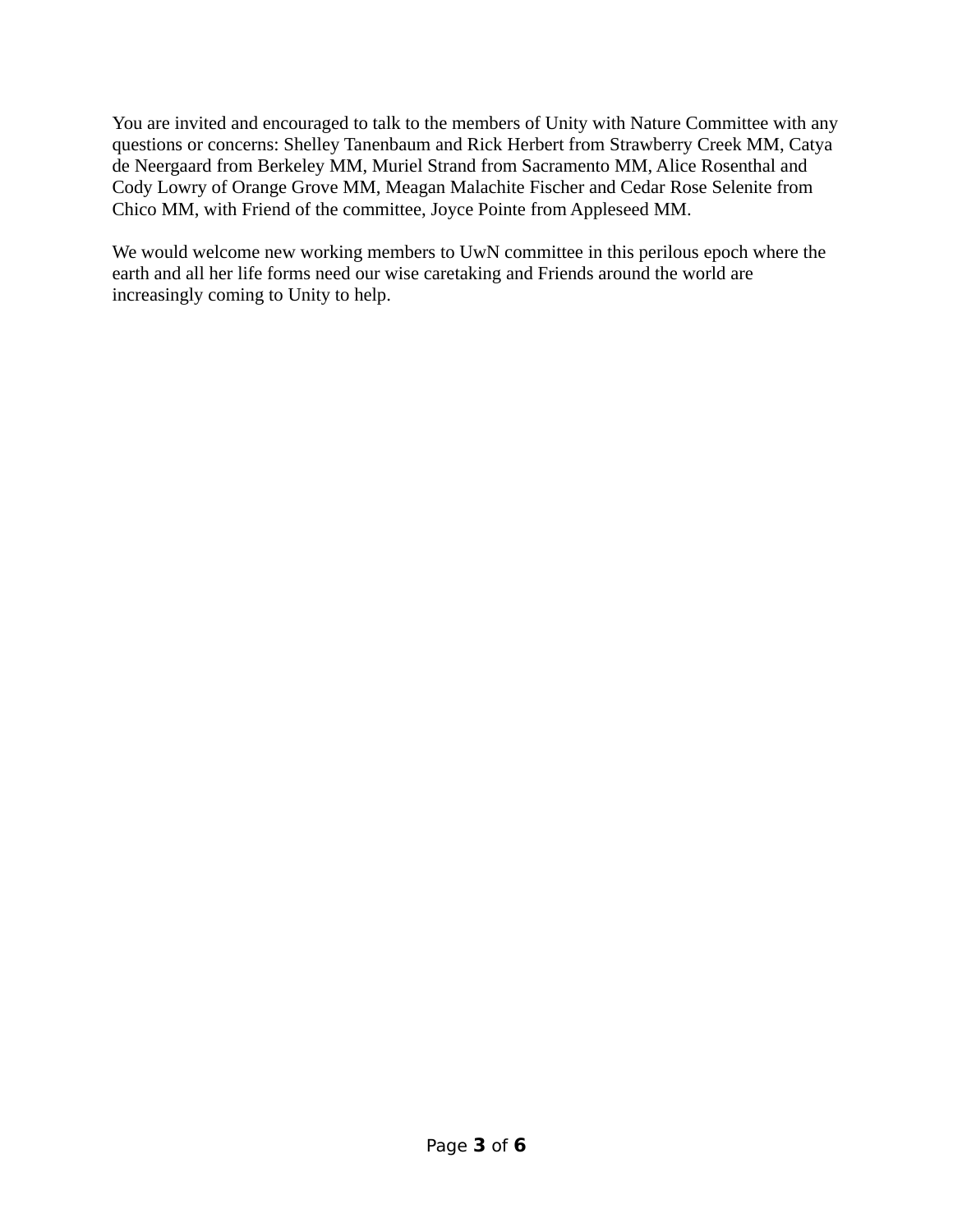You are invited and encouraged to talk to the members of Unity with Nature Committee with any questions or concerns: Shelley Tanenbaum and Rick Herbert from Strawberry Creek MM, Catya de Neergaard from Berkeley MM, Muriel Strand from Sacramento MM, Alice Rosenthal and Cody Lowry of Orange Grove MM, Meagan Malachite Fischer and Cedar Rose Selenite from Chico MM, with Friend of the committee, Joyce Pointe from Appleseed MM.

We would welcome new working members to UwN committee in this perilous epoch where the earth and all her life forms need our wise caretaking and Friends around the world are increasingly coming to Unity to help.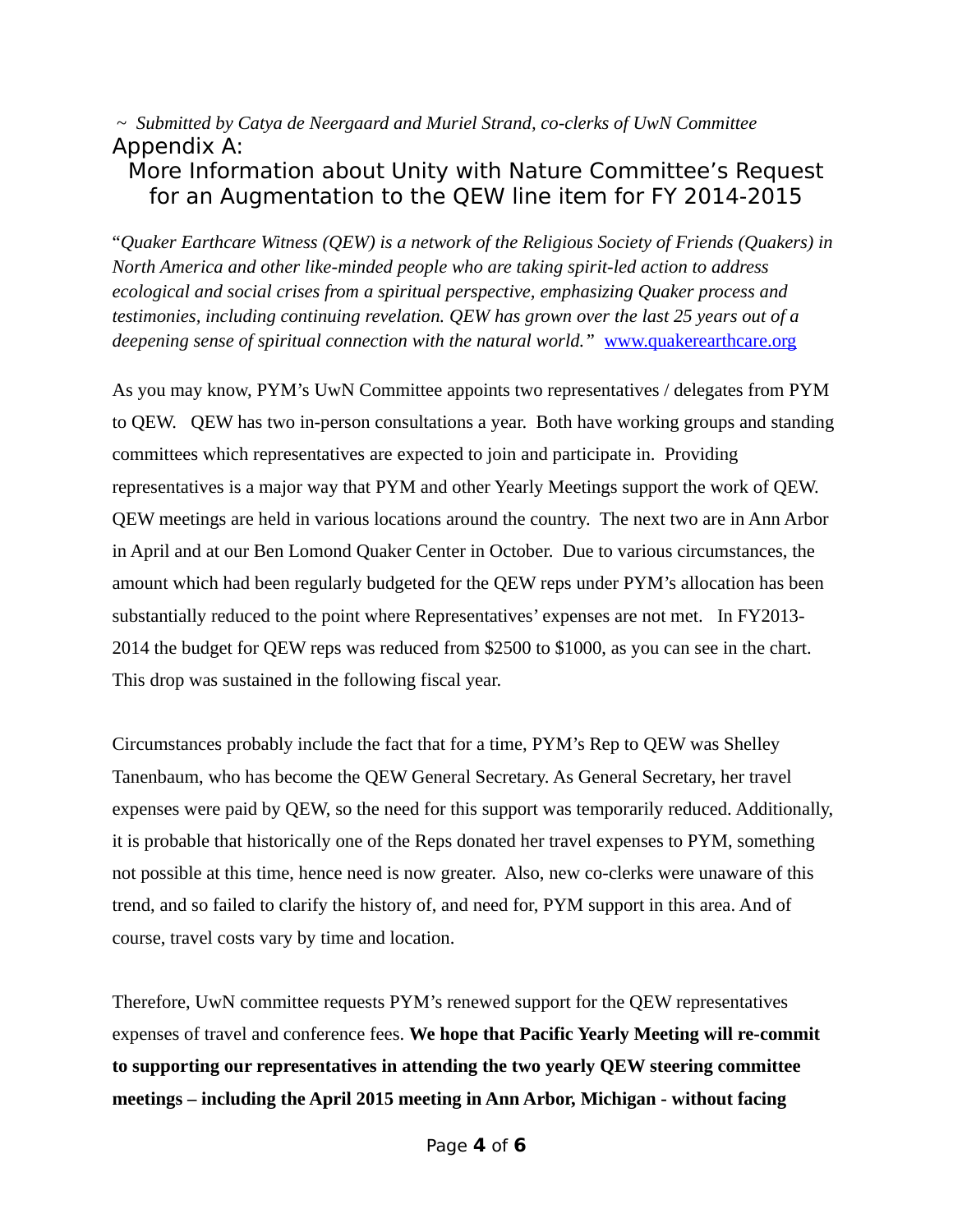~ *Submitted by Catya de Neergaard and Muriel Strand, co-clerks of UwN Committee* Appendix A:

## More Information about Unity with Nature Committee's Request for an Augmentation to the QEW line item for FY 2014-2015

"*Quaker Earthcare Witness (QEW) is a network of the Religious Society of Friends (Quakers) in North America and other like-minded people who are taking spirit-led action to address ecological and social crises from a spiritual perspective, emphasizing Quaker process and testimonies, including continuing revelation. QEW has grown over the last 25 years out of a deepening sense of spiritual connection with the natural world."* [www.quakerearthcare.org](http://www.quakerearthcare.org/)

As you may know, PYM's UwN Committee appoints two representatives / delegates from PYM to QEW. QEW has two in-person consultations a year. Both have working groups and standing committees which representatives are expected to join and participate in. Providing representatives is a major way that PYM and other Yearly Meetings support the work of QEW. QEW meetings are held in various locations around the country. The next two are in Ann Arbor in April and at our Ben Lomond Quaker Center in October. Due to various circumstances, the amount which had been regularly budgeted for the QEW reps under PYM's allocation has been substantially reduced to the point where Representatives' expenses are not met. In FY2013- 2014 the budget for QEW reps was reduced from \$2500 to \$1000, as you can see in the chart. This drop was sustained in the following fiscal year.

Circumstances probably include the fact that for a time, PYM's Rep to QEW was Shelley Tanenbaum, who has become the QEW General Secretary. As General Secretary, her travel expenses were paid by QEW, so the need for this support was temporarily reduced. Additionally, it is probable that historically one of the Reps donated her travel expenses to PYM, something not possible at this time, hence need is now greater. Also, new co-clerks were unaware of this trend, and so failed to clarify the history of, and need for, PYM support in this area. And of course, travel costs vary by time and location.

Therefore, UwN committee requests PYM's renewed support for the QEW representatives expenses of travel and conference fees. **We hope that Pacific Yearly Meeting will re-commit to supporting our representatives in attending the two yearly QEW steering committee meetings – including the April 2015 meeting in Ann Arbor, Michigan - without facing**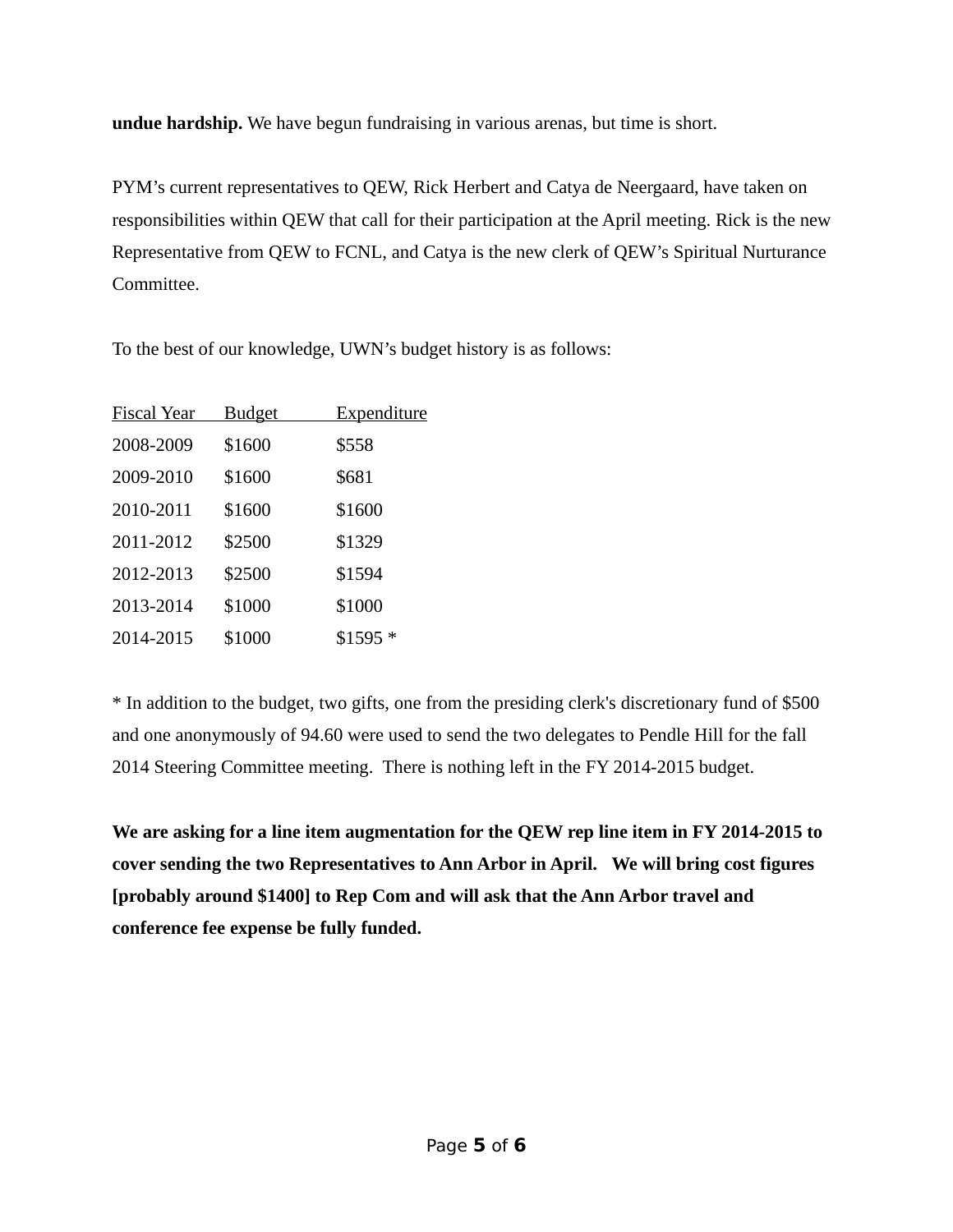**undue hardship.** We have begun fundraising in various arenas, but time is short.

PYM's current representatives to QEW, Rick Herbert and Catya de Neergaard, have taken on responsibilities within QEW that call for their participation at the April meeting. Rick is the new Representative from QEW to FCNL, and Catya is the new clerk of QEW's Spiritual Nurturance Committee.

To the best of our knowledge, UWN's budget history is as follows:

| <u>Fiscal Year</u> | <u>Budget</u> | <u>Expenditure</u> |
|--------------------|---------------|--------------------|
| 2008-2009          | \$1600        | \$558              |
| 2009-2010          | \$1600        | \$681              |
| 2010-2011          | \$1600        | \$1600             |
| 2011-2012          | \$2500        | \$1329             |
| 2012-2013          | \$2500        | \$1594             |
| 2013-2014          | \$1000        | \$1000             |
| 2014-2015          | \$1000        | $$1595*$           |

\* In addition to the budget, two gifts, one from the presiding clerk's discretionary fund of \$500 and one anonymously of 94.60 were used to send the two delegates to Pendle Hill for the fall 2014 Steering Committee meeting. There is nothing left in the FY 2014-2015 budget.

**We are asking for a line item augmentation for the QEW rep line item in FY 2014-2015 to cover sending the two Representatives to Ann Arbor in April. We will bring cost figures [probably around \$1400] to Rep Com and will ask that the Ann Arbor travel and conference fee expense be fully funded.**